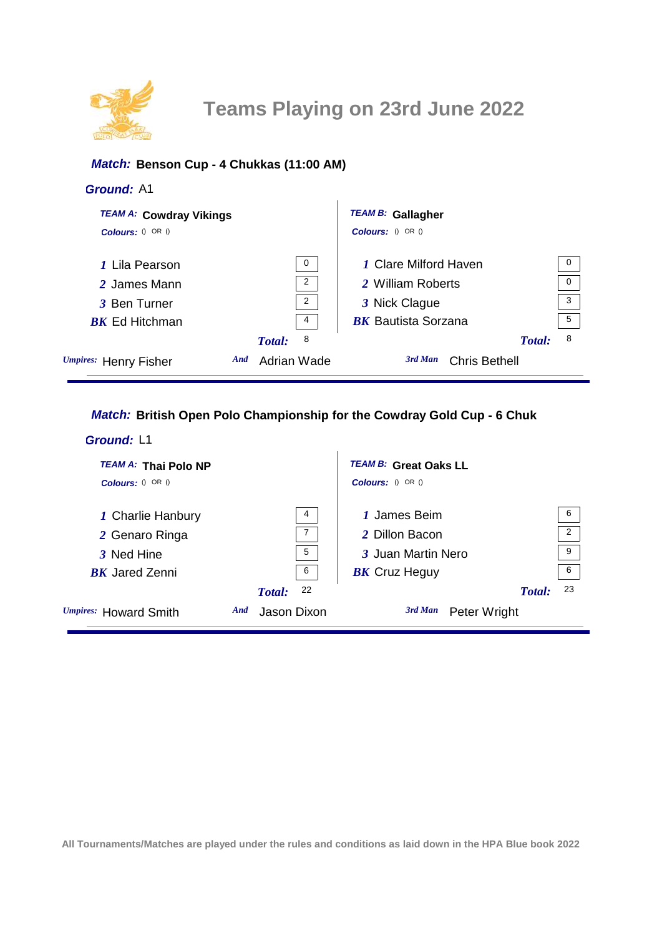

## *Match:* **Benson Cup - 4 Chukkas (11:00 AM)**

#### *Ground:* A1

| <b>TEAM A: Cowdray Vikings</b> |             | <b>TEAM B: Gallagher</b>        |                |
|--------------------------------|-------------|---------------------------------|----------------|
| Colours: $() OR ()$            |             | Colours: () OR ()               |                |
| 1 Lila Pearson                 | $\mathbf 0$ | <b>1 Clare Milford Haven</b>    | $\overline{0}$ |
| 2 James Mann                   | 2           | 2 William Roberts               | $\overline{0}$ |
| 3 Ben Turner                   | 2           | 3 Nick Clague                   | $\overline{3}$ |
| <b>BK</b> Ed Hitchman          | 4           | <b>BK</b> Bautista Sorzana      | 5              |
|                                | 8<br>Total: | Total:                          | 8              |
| Umpires: Henry Fisher<br>And   | Adrian Wade | 3rd Man<br><b>Chris Bethell</b> |                |

# *Match:* **British Open Polo Championship for the Cowdray Gold Cup - 6 Chuk**

| Ground: L1                  |                    |                              |
|-----------------------------|--------------------|------------------------------|
| <b>TEAM A: Thai Polo NP</b> |                    | <b>TEAM B: Great Oaks LL</b> |
| Colours: $() OR ()$         |                    | <b>Colours:</b> $() OR ()$   |
| 1 Charlie Hanbury           | 4                  | 6<br>1 James Beim            |
| 2 Genaro Ringa              | $\overline{7}$     | 2<br>2 Dillon Bacon          |
| 3 Ned Hine                  | 5                  | 9<br>3 Juan Martin Nero      |
| <b>RK</b> Jared Zenni       | 6                  | 6<br><b>BK</b> Cruz Heguy    |
|                             | 22<br>Total:       | 23<br>Total:                 |
| Umpires: Howard Smith       | And<br>Jason Dixon | 3rd Man<br>Peter Wright      |

**All Tournaments/Matches are played under the rules and conditions as laid down in the HPA Blue book 2022**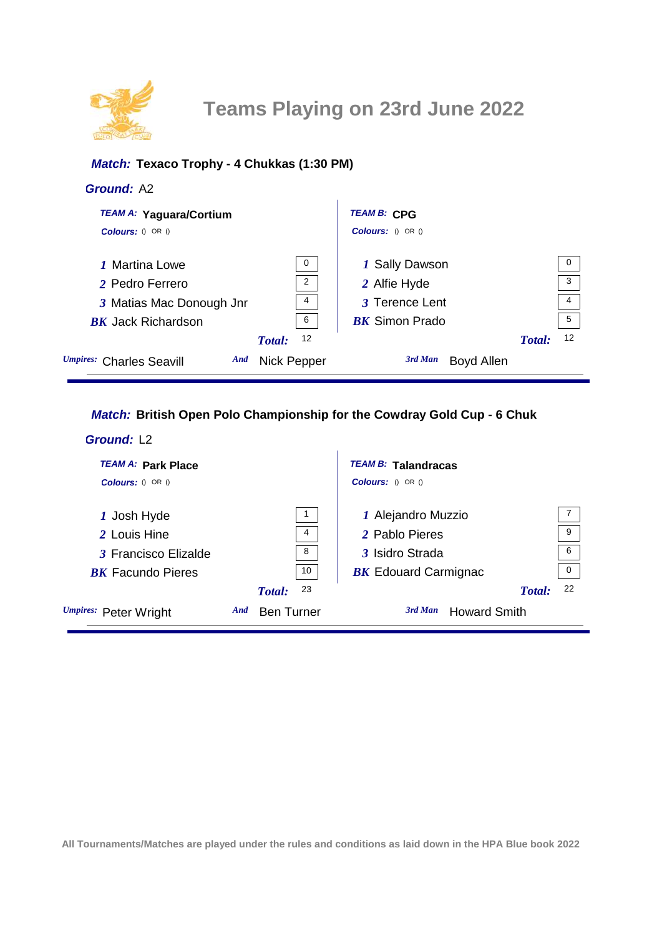

## *Match:* **Texaco Trophy - 4 Chukkas (1:30 PM)**

#### *Ground:* A2

| <b>TEAM A: Yaguara/Cortium</b>  |                    | <b>TEAM B: CPG</b>    |        |              |
|---------------------------------|--------------------|-----------------------|--------|--------------|
| $\text{Colours: } ()$ OR $()$   |                    | Colours: () OR ()     |        |              |
| <b><i>I</i></b> Martina Lowe    | $\mathbf 0$        | 1 Sally Dawson        |        | - 0          |
| 2 Pedro Ferrero                 | $\overline{2}$     | 2 Alfie Hyde          |        | $\mathbf{3}$ |
| 3 Matias Mac Donough Jnr        | 4                  | 3 Terence Lent        |        | -4           |
| <b>BK</b> Jack Richardson       | 6                  | <b>BK</b> Simon Prado |        | 5            |
|                                 | 12<br>Total:       |                       | Total: | 12           |
| Umpires: Charles Seavill<br>And | <b>Nick Pepper</b> | 3rd Man<br>Boyd Allen |        |              |

## *Match:* **British Open Polo Championship for the Cowdray Gold Cup - 6 Chuk**

| Ground: L <sub>2</sub>    |                          |                                             |
|---------------------------|--------------------------|---------------------------------------------|
| <b>TEAM A: Park Place</b> |                          | <b>TEAM B: Talandracas</b>                  |
| Colours: $() OR ()$       |                          | <b>Colours:</b> $() OR ()$                  |
| 1 Josh Hyde               | 1                        | $\overline{7}$<br>1 Alejandro Muzzio        |
| 2 Louis Hine              | 4                        | 9<br>2 Pablo Pieres                         |
| 3 Francisco Elizalde      | 8                        | 6<br>3 Isidro Strada                        |
| <b>BK</b> Facundo Pieres  | 10                       | $\mathbf{0}$<br><b>BK</b> Edouard Carmignac |
|                           | 23<br>Total:             | 22<br>Total:                                |
| Umpires: Peter Wright     | And<br><b>Ben Turner</b> | 3rd Man<br><b>Howard Smith</b>              |

**All Tournaments/Matches are played under the rules and conditions as laid down in the HPA Blue book 2022**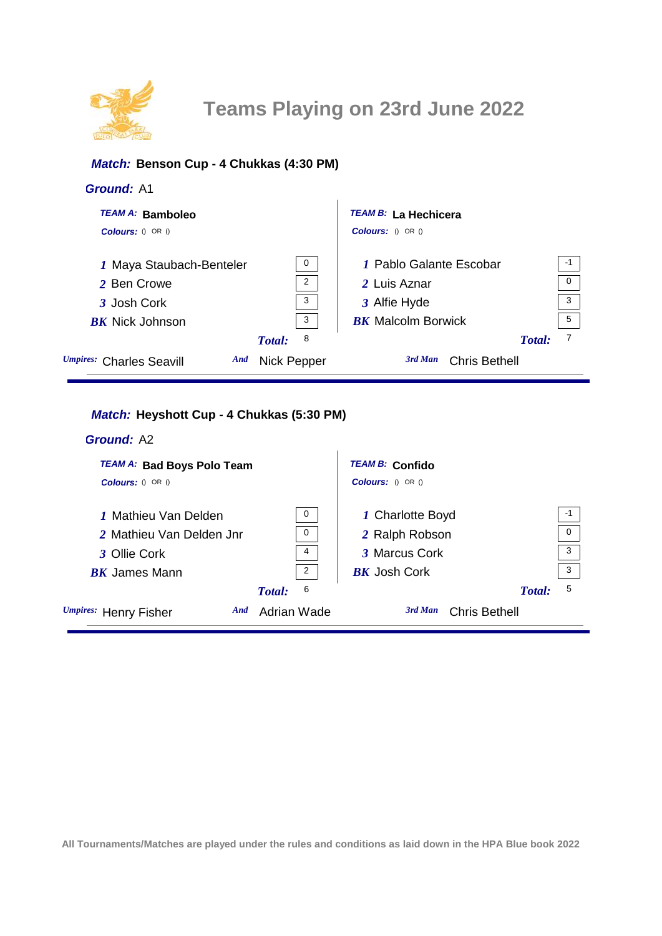

#### *Match:* **Benson Cup - 4 Chukkas (4:30 PM)**

| <b>Ground: A1</b>               |                |                                 |      |
|---------------------------------|----------------|---------------------------------|------|
| <b>TEAM A: Bamboleo</b>         |                | <b>TEAM B: La Hechicera</b>     |      |
| <b>Colours:</b> $() OR ()$      |                | $\text{Colours: } ()$ OR $()$   |      |
| 1 Maya Staubach-Benteler        | $\mathbf 0$    | 7 Pablo Galante Escobar         | $-1$ |
| 2 Ben Crowe                     | $\overline{2}$ | 2 Luis Aznar                    | 0    |
| 3 Josh Cork                     | 3              | 3 Alfie Hyde                    | 3    |
| <b>BK</b> Nick Johnson          | 3              | <b>BK</b> Malcolm Borwick       | 5    |
|                                 | 8<br>Total:    | Total:                          | 7    |
| Umpires: Charles Seavill<br>And | Nick Pepper    | 3rd Man<br><b>Chris Bethell</b> |      |

# *Match:* **Heyshott Cup - 4 Chukkas (5:30 PM)**

| <b>Ground: A2</b>                 |                |                                 |          |
|-----------------------------------|----------------|---------------------------------|----------|
| <b>TEAM A: Bad Boys Polo Team</b> |                | <b>TEAM B: Confido</b>          |          |
| <b>Colours:</b> $0$ OR $0$        |                | <b>Colours:</b> $() OR ()$      |          |
| 1 Mathieu Van Delden              | 0              | 1 Charlotte Boyd                | $-1$     |
| 2 Mathieu Van Delden Jnr          | 0              | 2 Ralph Robson                  | $\Omega$ |
| 3 Ollie Cork                      | 4              | 3 Marcus Cork                   | 3        |
| <b>BK</b> James Mann              | $\overline{2}$ | <b>BK</b> Josh Cork             | 3        |
|                                   | 6<br>Total:    | Total:                          | 5        |
| Umpires: Henry Fisher<br>And      | Adrian Wade    | 3rd Man<br><b>Chris Bethell</b> |          |

**All Tournaments/Matches are played under the rules and conditions as laid down in the HPA Blue book 2022**